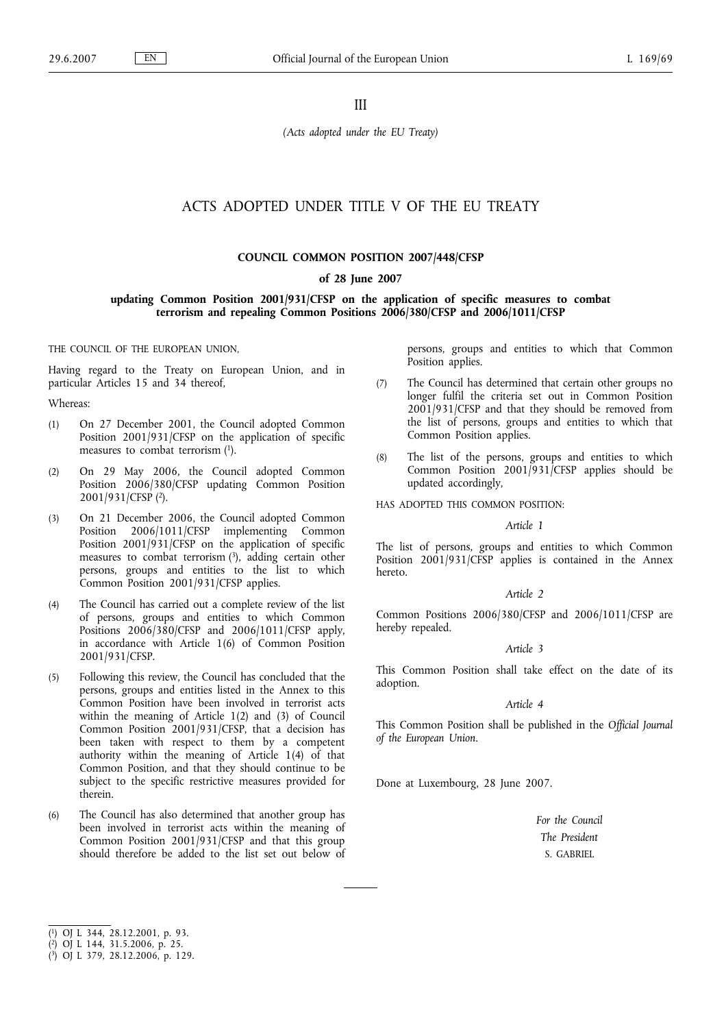III

*(Acts adopted under the EU Treaty)*

# ACTS ADOPTED UNDER TITLE V OF THE EU TREATY

## **COUNCIL COMMON POSITION 2007/448/CFSP**

## **of 28 June 2007**

## **updating Common Position 2001/931/CFSP on the application of specific measures to combat terrorism and repealing Common Positions 2006/380/CFSP and 2006/1011/CFSP**

#### THE COUNCIL OF THE EUROPEAN UNION,

Having regard to the Treaty on European Union, and in particular Articles 15 and 34 thereof,

### Whereas:

- (1) On 27 December 2001, the Council adopted Common Position 2001/931/CFSP on the application of specific measures to combat terrorism  $(1)$ .
- (2) On 29 May 2006, the Council adopted Common Position 2006/380/CFSP updating Common Position 2001/931/CFSP (2).
- (3) On 21 December 2006, the Council adopted Common Position 2006/1011/CFSP implementing Common Position 2001/931/CFSP on the application of specific measures to combat terrorism (3), adding certain other persons, groups and entities to the list to which Common Position 2001/931/CFSP applies.
- (4) The Council has carried out a complete review of the list of persons, groups and entities to which Common Positions 2006/380/CFSP and 2006/1011/CFSP apply, in accordance with Article 1(6) of Common Position 2001/931/CFSP.
- (5) Following this review, the Council has concluded that the persons, groups and entities listed in the Annex to this Common Position have been involved in terrorist acts within the meaning of Article 1(2) and (3) of Council Common Position 2001/931/CFSP, that a decision has been taken with respect to them by a competent authority within the meaning of Article 1(4) of that Common Position, and that they should continue to be subject to the specific restrictive measures provided for therein.
- (6) The Council has also determined that another group has been involved in terrorist acts within the meaning of Common Position 2001/931/CFSP and that this group should therefore be added to the list set out below of

persons, groups and entities to which that Common Position applies.

- (7) The Council has determined that certain other groups no longer fulfil the criteria set out in Common Position 2001/931/CFSP and that they should be removed from the list of persons, groups and entities to which that Common Position applies.
- (8) The list of the persons, groups and entities to which Common Position 2001/931/CFSP applies should be updated accordingly,

HAS ADOPTED THIS COMMON POSITION:

## *Article 1*

The list of persons, groups and entities to which Common Position 2001/931/CFSP applies is contained in the Annex hereto.

## *Article 2*

Common Positions 2006/380/CFSP and 2006/1011/CFSP are hereby repealed.

## *Article 3*

This Common Position shall take effect on the date of its adoption.

### *Article 4*

This Common Position shall be published in the *Official Journal of the European Union*.

Done at Luxembourg, 28 June 2007.

*For the Council The President* S. GABRIEL

<sup>(</sup> 1) OJ L 344, 28.12.2001, p. 93.

<sup>(</sup> 2) OJ L 144, 31.5.2006, p. 25.

<sup>(</sup> 3) OJ L 379, 28.12.2006, p. 129.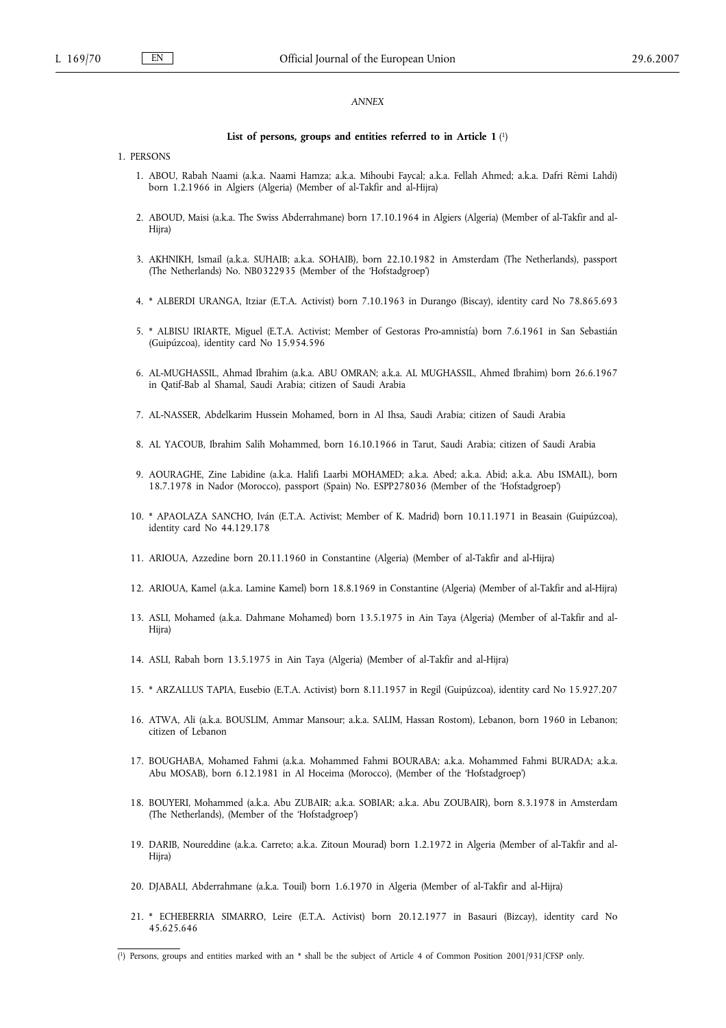## *ANNEX*

### **List of persons, groups and entities referred to in Article 1** ( 1)

### 1. PERSONS

- 1. ABOU, Rabah Naami (a.k.a. Naami Hamza; a.k.a. Mihoubi Faycal; a.k.a. Fellah Ahmed; a.k.a. Dafri Rèmi Lahdi) born 1.2.1966 in Algiers (Algeria) (Member of al-Takfir and al-Hijra)
- 2. ABOUD, Maisi (a.k.a. The Swiss Abderrahmane) born 17.10.1964 in Algiers (Algeria) (Member of al-Takfir and al-Hijra)
- 3. AKHNIKH, Ismail (a.k.a. SUHAIB; a.k.a. SOHAIB), born 22.10.1982 in Amsterdam (The Netherlands), passport (The Netherlands) No. NB0322935 (Member of the 'Hofstadgroep')
- 4. \* ALBERDI URANGA, Itziar (E.T.A. Activist) born 7.10.1963 in Durango (Biscay), identity card No 78.865.693
- 5. \* ALBISU IRIARTE, Miguel (E.T.A. Activist; Member of Gestoras Pro-amnistía) born 7.6.1961 in San Sebastián (Guipúzcoa), identity card No 15.954.596
- 6. AL-MUGHASSIL, Ahmad Ibrahim (a.k.a. ABU OMRAN; a.k.a. AL MUGHASSIL, Ahmed Ibrahim) born 26.6.1967 in Qatif-Bab al Shamal, Saudi Arabia; citizen of Saudi Arabia
- 7. AL-NASSER, Abdelkarim Hussein Mohamed, born in Al Ihsa, Saudi Arabia; citizen of Saudi Arabia
- 8. AL YACOUB, Ibrahim Salih Mohammed, born 16.10.1966 in Tarut, Saudi Arabia; citizen of Saudi Arabia
- 9. AOURAGHE, Zine Labidine (a.k.a. Halifi Laarbi MOHAMED; a.k.a. Abed; a.k.a. Abid; a.k.a. Abu ISMAIL), born 18.7.1978 in Nador (Morocco), passport (Spain) No. ESPP278036 (Member of the 'Hofstadgroep')
- 10. \* APAOLAZA SANCHO, Iván (E.T.A. Activist; Member of K. Madrid) born 10.11.1971 in Beasain (Guipúzcoa), identity card No 44.129.178
- 11. ARIOUA, Azzedine born 20.11.1960 in Constantine (Algeria) (Member of al-Takfir and al-Hijra)
- 12. ARIOUA, Kamel (a.k.a. Lamine Kamel) born 18.8.1969 in Constantine (Algeria) (Member of al-Takfir and al-Hijra)
- 13. ASLI, Mohamed (a.k.a. Dahmane Mohamed) born 13.5.1975 in Ain Taya (Algeria) (Member of al-Takfir and al-Hijra)
- 14. ASLI, Rabah born 13.5.1975 in Ain Taya (Algeria) (Member of al-Takfir and al-Hijra)
- 15. \* ARZALLUS TAPIA, Eusebio (E.T.A. Activist) born 8.11.1957 in Regil (Guipúzcoa), identity card No 15.927.207
- 16. ATWA, Ali (a.k.a. BOUSLIM, Ammar Mansour; a.k.a. SALIM, Hassan Rostom), Lebanon, born 1960 in Lebanon; citizen of Lebanon
- 17. BOUGHABA, Mohamed Fahmi (a.k.a. Mohammed Fahmi BOURABA; a.k.a. Mohammed Fahmi BURADA; a.k.a. Abu MOSAB), born 6.12.1981 in Al Hoceima (Morocco), (Member of the 'Hofstadgroep')
- 18. BOUYERI, Mohammed (a.k.a. Abu ZUBAIR; a.k.a. SOBIAR; a.k.a. Abu ZOUBAIR), born 8.3.1978 in Amsterdam (The Netherlands), (Member of the 'Hofstadgroep')
- 19. DARIB, Noureddine (a.k.a. Carreto; a.k.a. Zitoun Mourad) born 1.2.1972 in Algeria (Member of al-Takfir and al-Hiira)
- 20. DJABALI, Abderrahmane (a.k.a. Touil) born 1.6.1970 in Algeria (Member of al-Takfir and al-Hijra)
- 21. \* ECHEBERRIA SIMARRO, Leire (E.T.A. Activist) born 20.12.1977 in Basauri (Bizcay), identity card No 45.625.646

<sup>(</sup> 1) Persons, groups and entities marked with an \* shall be the subject of Article 4 of Common Position 2001/931/CFSP only.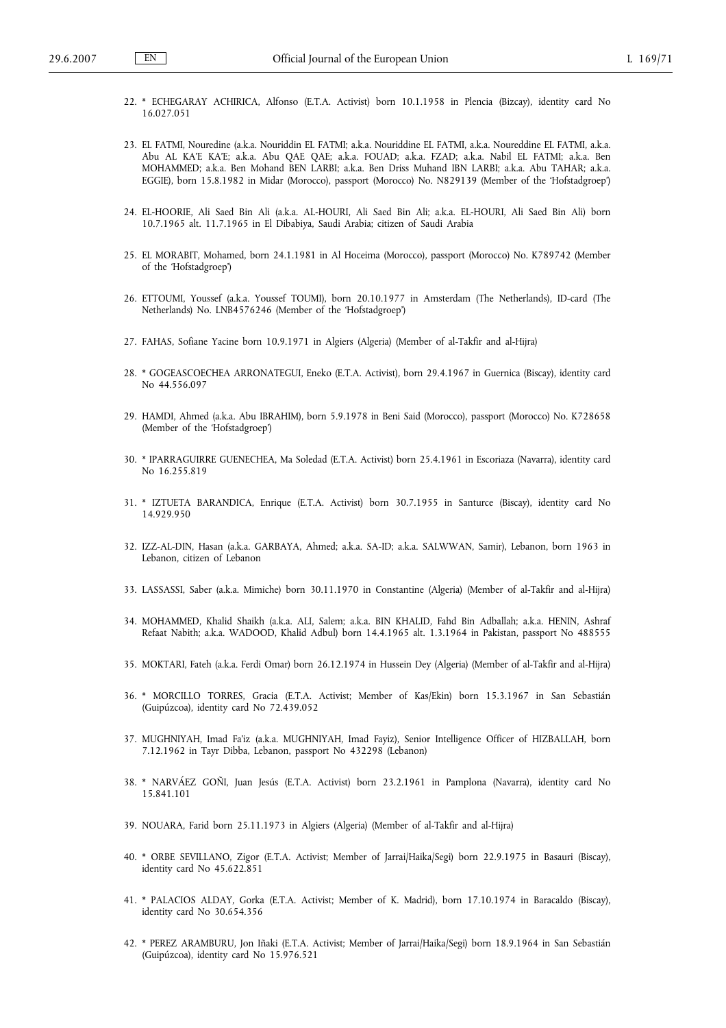- 22. \* ECHEGARAY ACHIRICA, Alfonso (E.T.A. Activist) born 10.1.1958 in Plencia (Bizcay), identity card No 16.027.051
- 23. EL FATMI, Nouredine (a.k.a. Nouriddin EL FATMI; a.k.a. Nouriddine EL FATMI, a.k.a. Noureddine EL FATMI, a.k.a. Abu AL KA'E KA'E; a.k.a. Abu QAE QAE; a.k.a. FOUAD; a.k.a. FZAD; a.k.a. Nabil EL FATMI; a.k.a. Ben MOHAMMED; a.k.a. Ben Mohand BEN LARBI; a.k.a. Ben Driss Muhand IBN LARBI; a.k.a. Abu TAHAR; a.k.a. EGGIE), born 15.8.1982 in Midar (Morocco), passport (Morocco) No. N829139 (Member of the 'Hofstadgroep')
- 24. EL-HOORIE, Ali Saed Bin Ali (a.k.a. AL-HOURI, Ali Saed Bin Ali; a.k.a. EL-HOURI, Ali Saed Bin Ali) born 10.7.1965 alt. 11.7.1965 in El Dibabiya, Saudi Arabia; citizen of Saudi Arabia
- 25. EL MORABIT, Mohamed, born 24.1.1981 in Al Hoceima (Morocco), passport (Morocco) No. K789742 (Member of the 'Hofstadgroep')
- 26. ETTOUMI, Youssef (a.k.a. Youssef TOUMI), born 20.10.1977 in Amsterdam (The Netherlands), ID-card (The Netherlands) No. LNB4576246 (Member of the 'Hofstadgroep')
- 27. FAHAS, Sofiane Yacine born 10.9.1971 in Algiers (Algeria) (Member of al-Takfir and al-Hijra)
- 28. \* GOGEASCOECHEA ARRONATEGUI, Eneko (E.T.A. Activist), born 29.4.1967 in Guernica (Biscay), identity card No 44.556.097
- 29. HAMDI, Ahmed (a.k.a. Abu IBRAHIM), born 5.9.1978 in Beni Said (Morocco), passport (Morocco) No. K728658 (Member of the 'Hofstadgroep')
- 30. \* IPARRAGUIRRE GUENECHEA, Ma Soledad (E.T.A. Activist) born 25.4.1961 in Escoriaza (Navarra), identity card No 16.255.819
- 31. \* IZTUETA BARANDICA, Enrique (E.T.A. Activist) born 30.7.1955 in Santurce (Biscay), identity card No 14.929.950
- 32. IZZ-AL-DIN, Hasan (a.k.a. GARBAYA, Ahmed; a.k.a. SA-ID; a.k.a. SALWWAN, Samir), Lebanon, born 1963 in Lebanon, citizen of Lebanon
- 33. LASSASSI, Saber (a.k.a. Mimiche) born 30.11.1970 in Constantine (Algeria) (Member of al-Takfir and al-Hijra)
- 34. MOHAMMED, Khalid Shaikh (a.k.a. ALI, Salem; a.k.a. BIN KHALID, Fahd Bin Adballah; a.k.a. HENIN, Ashraf Refaat Nabith; a.k.a. WADOOD, Khalid Adbul) born 14.4.1965 alt. 1.3.1964 in Pakistan, passport No 488555
- 35. MOKTARI, Fateh (a.k.a. Ferdi Omar) born 26.12.1974 in Hussein Dey (Algeria) (Member of al-Takfir and al-Hijra)
- 36. \* MORCILLO TORRES, Gracia (E.T.A. Activist; Member of Kas/Ekin) born 15.3.1967 in San Sebastián (Guipúzcoa), identity card No 72.439.052
- 37. MUGHNIYAH, Imad Fa'iz (a.k.a. MUGHNIYAH, Imad Fayiz), Senior Intelligence Officer of HIZBALLAH, born 7.12.1962 in Tayr Dibba, Lebanon, passport No 432298 (Lebanon)
- 38. \* NARVÁEZ GOÑI, Juan Jesús (E.T.A. Activist) born 23.2.1961 in Pamplona (Navarra), identity card No 15.841.101
- 39. NOUARA, Farid born 25.11.1973 in Algiers (Algeria) (Member of al-Takfir and al-Hijra)
- 40. \* ORBE SEVILLANO, Zigor (E.T.A. Activist; Member of Jarrai/Haika/Segi) born 22.9.1975 in Basauri (Biscay), identity card No 45.622.851
- 41. \* PALACIOS ALDAY, Gorka (E.T.A. Activist; Member of K. Madrid), born 17.10.1974 in Baracaldo (Biscay), identity card No 30.654.356
- 42. \* PEREZ ARAMBURU, Jon Iñaki (E.T.A. Activist; Member of Jarrai/Haika/Segi) born 18.9.1964 in San Sebastián (Guipúzcoa), identity card No 15.976.521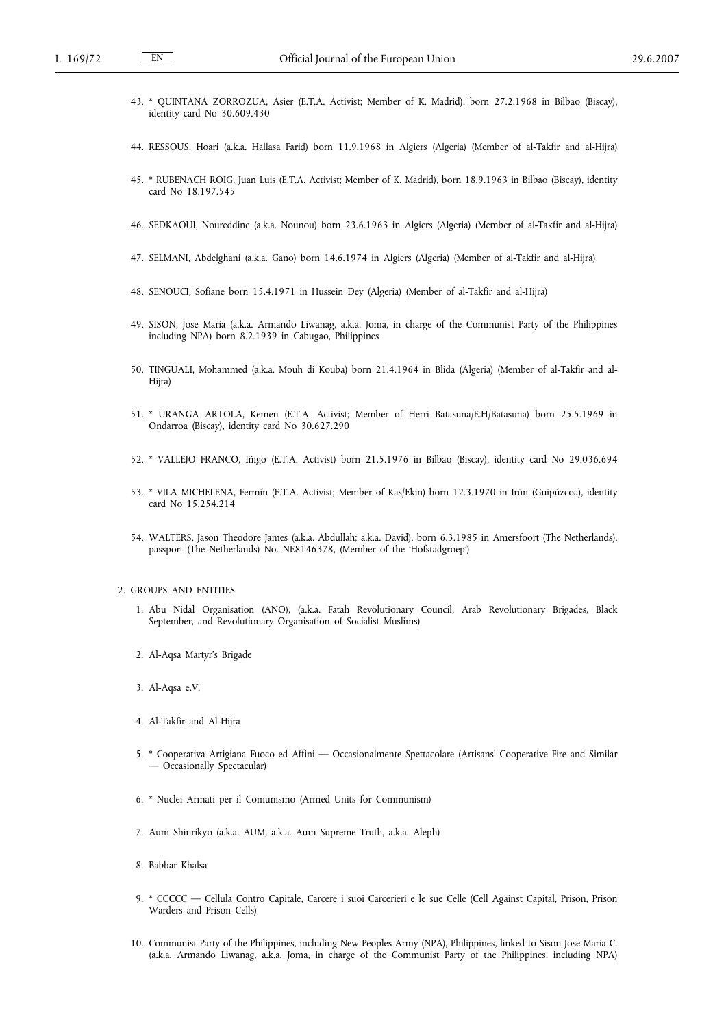- 43. \* QUINTANA ZORROZUA, Asier (E.T.A. Activist; Member of K. Madrid), born 27.2.1968 in Bilbao (Biscay), identity card No 30.609.430
- 44. RESSOUS, Hoari (a.k.a. Hallasa Farid) born 11.9.1968 in Algiers (Algeria) (Member of al-Takfir and al-Hijra)
- 45. \* RUBENACH ROIG, Juan Luis (E.T.A. Activist; Member of K. Madrid), born 18.9.1963 in Bilbao (Biscay), identity card No 18.197.545
- 46. SEDKAOUI, Noureddine (a.k.a. Nounou) born 23.6.1963 in Algiers (Algeria) (Member of al-Takfir and al-Hijra)
- 47. SELMANI, Abdelghani (a.k.a. Gano) born 14.6.1974 in Algiers (Algeria) (Member of al-Takfir and al-Hijra)
- 48. SENOUCI, Sofiane born 15.4.1971 in Hussein Dey (Algeria) (Member of al-Takfir and al-Hijra)
- 49. SISON, Jose Maria (a.k.a. Armando Liwanag, a.k.a. Joma, in charge of the Communist Party of the Philippines including NPA) born 8.2.1939 in Cabugao, Philippines
- 50. TINGUALI, Mohammed (a.k.a. Mouh di Kouba) born 21.4.1964 in Blida (Algeria) (Member of al-Takfir and al-Hijra)
- 51. \* URANGA ARTOLA, Kemen (E.T.A. Activist; Member of Herri Batasuna/E.H/Batasuna) born 25.5.1969 in Ondarroa (Biscay), identity card No 30.627.290
- 52. \* VALLEJO FRANCO, Iñigo (E.T.A. Activist) born 21.5.1976 in Bilbao (Biscay), identity card No 29.036.694
- 53. \* VILA MICHELENA, Fermín (E.T.A. Activist; Member of Kas/Ekin) born 12.3.1970 in Irún (Guipúzcoa), identity card No 15.254.214
- 54. WALTERS, Jason Theodore James (a.k.a. Abdullah; a.k.a. David), born 6.3.1985 in Amersfoort (The Netherlands), passport (The Netherlands) No. NE8146378, (Member of the 'Hofstadgroep')

#### 2. GROUPS AND ENTITIES

- 1. Abu Nidal Organisation (ANO), (a.k.a. Fatah Revolutionary Council, Arab Revolutionary Brigades, Black September, and Revolutionary Organisation of Socialist Muslims)
- 2. Al-Aqsa Martyr's Brigade
- 3. Al-Aqsa e.V.
- 4. Al-Takfir and Al-Hijra
- 5. \* Cooperativa Artigiana Fuoco ed Affini Occasionalmente Spettacolare (Artisans' Cooperative Fire and Similar — Occasionally Spectacular)
- 6. \* Nuclei Armati per il Comunismo (Armed Units for Communism)
- 7. Aum Shinrikyo (a.k.a. AUM, a.k.a. Aum Supreme Truth, a.k.a. Aleph)
- 8. Babbar Khalsa
- 9. \* CCCCC Cellula Contro Capitale, Carcere i suoi Carcerieri e le sue Celle (Cell Against Capital, Prison, Prison Warders and Prison Cells)
- 10. Communist Party of the Philippines, including New Peoples Army (NPA), Philippines, linked to Sison Jose Maria C. (a.k.a. Armando Liwanag, a.k.a. Joma, in charge of the Communist Party of the Philippines, including NPA)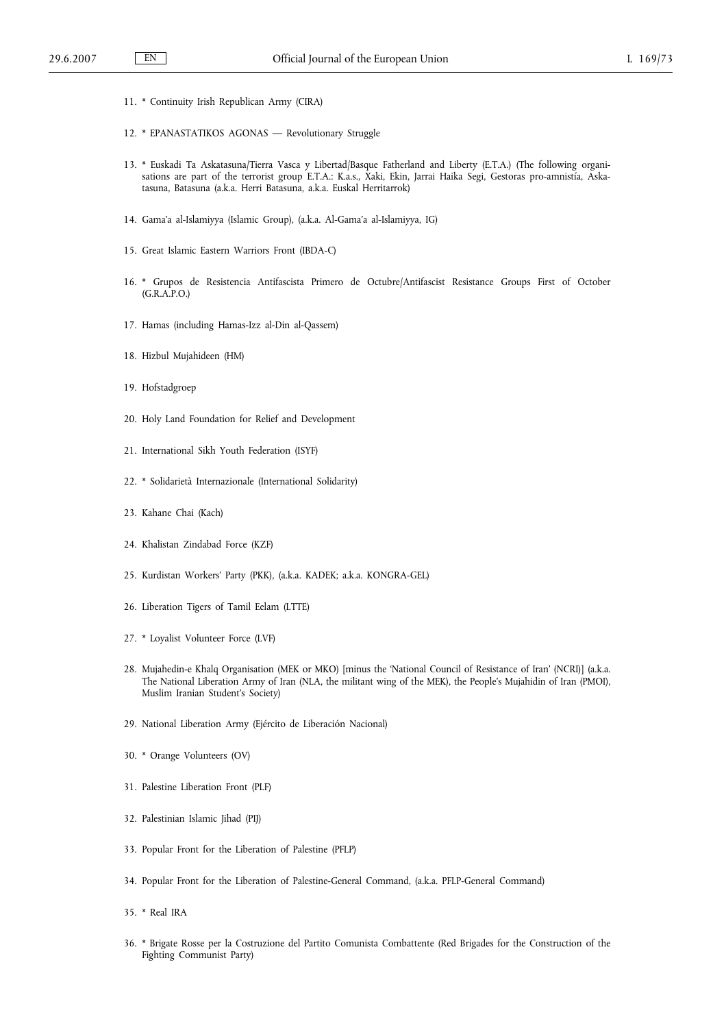- 11. \* Continuity Irish Republican Army (CIRA)
- 12. \* EPANASTATIKOS AGONAS Revolutionary Struggle
- 13. \* Euskadi Ta Askatasuna/Tierra Vasca y Libertad/Basque Fatherland and Liberty (E.T.A.) (The following organisations are part of the terrorist group E.T.A.: K.a.s., Xaki, Ekin, Jarrai Haika Segi, Gestoras pro-amnistía, Askatasuna, Batasuna (a.k.a. Herri Batasuna, a.k.a. Euskal Herritarrok)
- 14. Gama'a al-Islamiyya (Islamic Group), (a.k.a. Al-Gama'a al-Islamiyya, IG)
- 15. Great Islamic Eastern Warriors Front (IBDA-C)
- 16. \* Grupos de Resistencia Antifascista Primero de Octubre/Antifascist Resistance Groups First of October (G.R.A.P.O.)
- 17. Hamas (including Hamas-Izz al-Din al-Qassem)
- 18. Hizbul Mujahideen (HM)
- 19. Hofstadgroep
- 20. Holy Land Foundation for Relief and Development
- 21. International Sikh Youth Federation (ISYF)
- 22. \* Solidarietà Internazionale (International Solidarity)
- 23. Kahane Chai (Kach)
- 24. Khalistan Zindabad Force (KZF)
- 25. Kurdistan Workers' Party (PKK), (a.k.a. KADEK; a.k.a. KONGRA-GEL)
- 26. Liberation Tigers of Tamil Eelam (LTTE)
- 27. \* Loyalist Volunteer Force (LVF)
- 28. Mujahedin-e Khalq Organisation (MEK or MKO) [minus the 'National Council of Resistance of Iran' (NCRI)] (a.k.a. The National Liberation Army of Iran (NLA, the militant wing of the MEK), the People's Mujahidin of Iran (PMOI), Muslim Iranian Student's Society)
- 29. National Liberation Army (Ejército de Liberación Nacional)
- 30. \* Orange Volunteers (OV)
- 31. Palestine Liberation Front (PLF)
- 32. Palestinian Islamic Jihad (PIJ)
- 33. Popular Front for the Liberation of Palestine (PFLP)
- 34. Popular Front for the Liberation of Palestine-General Command, (a.k.a. PFLP-General Command)
- 35. \* Real IRA
- 36. \* Brigate Rosse per la Costruzione del Partito Comunista Combattente (Red Brigades for the Construction of the Fighting Communist Party)